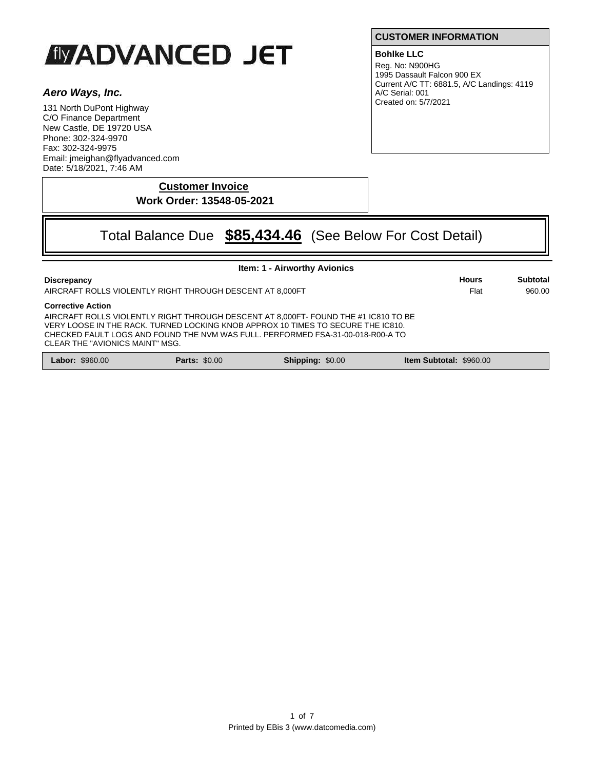# **IMADVANCED JET**

# *Aero Ways, Inc.*

131 North DuPont Highway C/O Finance Department New Castle, DE 19720 USA Phone: 302-324-9970 Fax: 302-324-9975 Email: jmeighan@flyadvanced.com Date: 5/18/2021, 7:46 AM

**CUSTOMER INFORMATION**

# **Bohlke LLC**

Reg. No: N900HG 1995 Dassault Falcon 900 EX Current A/C TT: 6881.5, A/C Landings: 4119 A/C Serial: 001 Created on: 5/7/2021

**Customer Invoice Work Order: 13548-05-2021**

# Total Balance Due **\$85,434.46** (See Below For Cost Detail)

| <b>Item: 1 - Airworthy Avionics</b>                                                                                                                                                                                                                                                                                                                                                    |                      |                         |                                |                      |                    |  |
|----------------------------------------------------------------------------------------------------------------------------------------------------------------------------------------------------------------------------------------------------------------------------------------------------------------------------------------------------------------------------------------|----------------------|-------------------------|--------------------------------|----------------------|--------------------|--|
| <b>Discrepancy</b>                                                                                                                                                                                                                                                                                                                                                                     |                      |                         |                                | <b>Hours</b><br>Flat | Subtotal<br>960.00 |  |
| AIRCRAFT ROLLS VIOLENTLY RIGHT THROUGH DESCENT AT 8,000FT<br><b>Corrective Action</b><br>AIRCRAFT ROLLS VIOLENTLY RIGHT THROUGH DESCENT AT 8.000FT- FOUND THE #1 IC810 TO BE<br>VERY LOOSE IN THE RACK, TURNED LOCKING KNOB APPROX 10 TIMES TO SECURE THE IC810.<br>CHECKED FAULT LOGS AND FOUND THE NVM WAS FULL. PERFORMED FSA-31-00-018-R00-A TO<br>CLEAR THE "AVIONICS MAINT" MSG. |                      |                         |                                |                      |                    |  |
| <b>Labor: \$960.00</b>                                                                                                                                                                                                                                                                                                                                                                 | <b>Parts: \$0.00</b> | <b>Shipping: \$0.00</b> | <b>Item Subtotal: \$960.00</b> |                      |                    |  |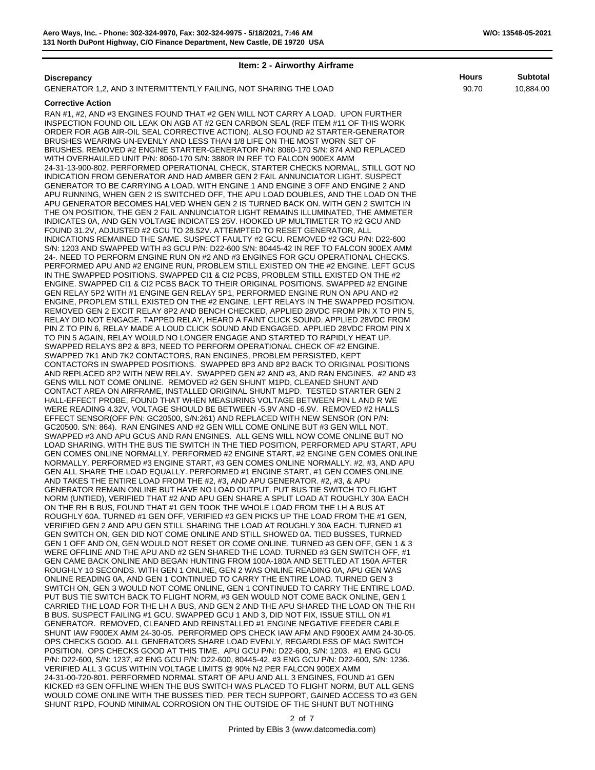#### **Item: 2 - Airworthy Airframe**

# **Discrepancy Hours Subtotal**

GENERATOR 1,2, AND 3 INTERMITTENTLY FAILING, NOT SHARING THE LOAD

#### **Corrective Action**

RAN #1, #2, AND #3 ENGINES FOUND THAT #2 GEN WILL NOT CARRY A LOAD. UPON FURTHER INSPECTION FOUND OIL LEAK ON AGB AT #2 GEN CARBON SEAL (REF ITEM #11 OF THIS WORK ORDER FOR AGB AIR-OIL SEAL CORRECTIVE ACTION). ALSO FOUND #2 STARTER-GENERATOR BRUSHES WEARING UN-EVENLY AND LESS THAN 1/8 LIFE ON THE MOST WORN SET OF BRUSHES. REMOVED #2 ENGINE STARTER-GENERATOR P/N: 8060-170 S/N: 874 AND REPLACED WITH OVERHAULED UNIT P/N: 8060-170 S/N: 3880R IN REF TO FALCON 900EX AMM 24-31-13-900-802. PERFORMED OPERATIONAL CHECK, STARTER CHECKS NORMAL, STILL GOT NO INDICATION FROM GENERATOR AND HAD AMBER GEN 2 FAIL ANNUNCIATOR LIGHT. SUSPECT GENERATOR TO BE CARRYING A LOAD. WITH ENGINE 1 AND ENGINE 3 OFF AND ENGINE 2 AND APU RUNNING, WHEN GEN 2 IS SWITCHED OFF, THE APU LOAD DOUBLES, AND THE LOAD ON THE APU GENERATOR BECOMES HALVED WHEN GEN 2 IS TURNED BACK ON. WITH GEN 2 SWITCH IN THE ON POSITION, THE GEN 2 FAIL ANNUNCIATOR LIGHT REMAINS ILLUMINATED, THE AMMETER INDICATES 0A, AND GEN VOLTAGE INDICATES 25V. HOOKED UP MULTIMETER TO #2 GCU AND FOUND 31.2V, ADJUSTED #2 GCU TO 28.52V. ATTEMPTED TO RESET GENERATOR, ALL INDICATIONS REMAINED THE SAME. SUSPECT FAULTY #2 GCU. REMOVED #2 GCU P/N: D22-600 S/N: 1203 AND SWAPPED WITH #3 GCU P/N: D22-600 S/N: 80445-42 IN REF TO FALCON 900EX AMM 24-. NEED TO PERFORM ENGINE RUN ON #2 AND #3 ENGINES FOR GCU OPERATIONAL CHECKS. PERFORMED APU AND #2 ENGINE RUN, PROBLEM STILL EXISTED ON THE #2 ENGINE. LEFT GCUS IN THE SWAPPED POSITIONS. SWAPPED CI1 & CI2 PCBS, PROBLEM STILL EXISTED ON THE #2 ENGINE. SWAPPED CI1 & CI2 PCBS BACK TO THEIR ORIGINAL POSITIONS. SWAPPED #2 ENGINE GEN RELAY 5P2 WITH #1 ENGINE GEN RELAY 5P1, PERFORMED ENGINE RUN ON APU AND #2 ENGINE, PROPLEM STILL EXISTED ON THE #2 ENGINE. LEFT RELAYS IN THE SWAPPED POSITION. REMOVED GEN 2 EXCIT RELAY 8P2 AND BENCH CHECKED, APPLIED 28VDC FROM PIN X TO PIN 5, RELAY DID NOT ENGAGE. TAPPED RELAY, HEARD A FAINT CLICK SOUND. APPLIED 28VDC FROM PIN Z TO PIN 6, RELAY MADE A LOUD CLICK SOUND AND ENGAGED. APPLIED 28VDC FROM PIN X TO PIN 5 AGAIN, RELAY WOULD NO LONGER ENGAGE AND STARTED TO RAPIDLY HEAT UP. SWAPPED RELAYS 8P2 & 8P3, NEED TO PERFORM OPERATIONAL CHECK OF #2 ENGINE. SWAPPED 7K1 AND 7K2 CONTACTORS, RAN ENGINES, PROBLEM PERSISTED, KEPT CONTACTORS IN SWAPPED POSITIONS. SWAPPED 8P3 AND 8P2 BACK TO ORIGINAL POSITIONS AND REPLACED 8P2 WITH NEW RELAY. SWAPPED GEN #2 AND #3, AND RAN ENGINES. #2 AND #3 GENS WILL NOT COME ONLINE. REMOVED #2 GEN SHUNT M1PD, CLEANED SHUNT AND CONTACT AREA ON AIRFRAME, INSTALLED ORIGINAL SHUNT M1PD. TESTED STARTER GEN 2 HALL-EFFECT PROBE, FOUND THAT WHEN MEASURING VOLTAGE BETWEEN PIN L AND R WE WERE READING 4.32V, VOLTAGE SHOULD BE BETWEEN -5.9V AND -6.9V. REMOVED #2 HALLS EFFECT SENSOR(OFF P/N: GC20500, S/N:261) AND REPLACED WITH NEW SENSOR (ON P/N: GC20500. S/N: 864). RAN ENGINES AND #2 GEN WILL COME ONLINE BUT #3 GEN WILL NOT. SWAPPED #3 AND APU GCUS AND RAN ENGINES. ALL GENS WILL NOW COME ONLINE BUT NO LOAD SHARING. WITH THE BUS TIE SWITCH IN THE TIED POSITION, PERFORMED APU START, APU GEN COMES ONLINE NORMALLY. PERFORMED #2 ENGINE START, #2 ENGINE GEN COMES ONLINE NORMALLY. PERFORMED #3 ENGINE START, #3 GEN COMES ONLINE NORMALLY. #2, #3, AND APU GEN ALL SHARE THE LOAD EQUALLY. PERFORMED #1 ENGINE START, #1 GEN COMES ONLINE AND TAKES THE ENTIRE LOAD FROM THE #2, #3, AND APU GENERATOR. #2, #3, & APU GENERATOR REMAIN ONLINE BUT HAVE NO LOAD OUTPUT. PUT BUS TIE SWITCH TO FLIGHT NORM (UNTIED), VERIFIED THAT #2 AND APU GEN SHARE A SPLIT LOAD AT ROUGHLY 30A EACH ON THE RH B BUS, FOUND THAT #1 GEN TOOK THE WHOLE LOAD FROM THE LH A BUS AT ROUGHLY 60A. TURNED #1 GEN OFF, VERIFIED #3 GEN PICKS UP THE LOAD FROM THE #1 GEN, VERIFIED GEN 2 AND APU GEN STILL SHARING THE LOAD AT ROUGHLY 30A EACH. TURNED #1 GEN SWITCH ON, GEN DID NOT COME ONLINE AND STILL SHOWED 0A. TIED BUSSES, TURNED GEN 1 OFF AND ON, GEN WOULD NOT RESET OR COME ONLINE. TURNED #3 GEN OFF, GEN 1 & 3 WERE OFFLINE AND THE APU AND #2 GEN SHARED THE LOAD. TURNED #3 GEN SWITCH OFF, #1 GEN CAME BACK ONLINE AND BEGAN HUNTING FROM 100A-180A AND SETTLED AT 150A AFTER ROUGHLY 10 SECONDS. WITH GEN 1 ONLINE, GEN 2 WAS ONLINE READING 0A, APU GEN WAS ONLINE READING 0A, AND GEN 1 CONTINUED TO CARRY THE ENTIRE LOAD. TURNED GEN 3 SWITCH ON, GEN 3 WOULD NOT COME ONLINE, GEN 1 CONTINUED TO CARRY THE ENTIRE LOAD. PUT BUS TIE SWITCH BACK TO FLIGHT NORM, #3 GEN WOULD NOT COME BACK ONLINE, GEN 1 CARRIED THE LOAD FOR THE LH A BUS, AND GEN 2 AND THE APU SHARED THE LOAD ON THE RH B BUS. SUSPECT FAILING #1 GCU. SWAPPED GCU 1 AND 3, DID NOT FIX, ISSUE STILL ON #1 GENERATOR. REMOVED, CLEANED AND REINSTALLED #1 ENGINE NEGATIVE FEEDER CABLE SHUNT IAW F900EX AMM 24-30-05. PERFORMED OPS CHECK IAW AFM AND F900EX AMM 24-30-05. OPS CHECKS GOOD. ALL GENERATORS SHARE LOAD EVENLY, REGARDLESS OF MAG SWITCH POSITION. OPS CHECKS GOOD AT THIS TIME. APU GCU P/N: D22-600, S/N: 1203. #1 ENG GCU P/N: D22-600, S/N: 1237, #2 ENG GCU P/N: D22-600, 80445-42, #3 ENG GCU P/N: D22-600, S/N: 1236. VERIFIED ALL 3 GCUS WITHIN VOLTAGE LIMITS @ 90% N2 PER FALCON 900EX AMM 24-31-00-720-801. PERFORMED NORMAL START OF APU AND ALL 3 ENGINES, FOUND #1 GEN KICKED #3 GEN OFFLINE WHEN THE BUS SWITCH WAS PLACED TO FLIGHT NORM, BUT ALL GENS WOULD COME ONLINE WITH THE BUSSES TIED. PER TECH SUPPORT, GAINED ACCESS TO #3 GEN SHUNT R1PD, FOUND MINIMAL CORROSION ON THE OUTSIDE OF THE SHUNT BUT NOTHING  $\frac{1}{2}$  and  $\frac{1}{2}$ 

 $\angle$  OI T 2 of 7

90.70 10,884.00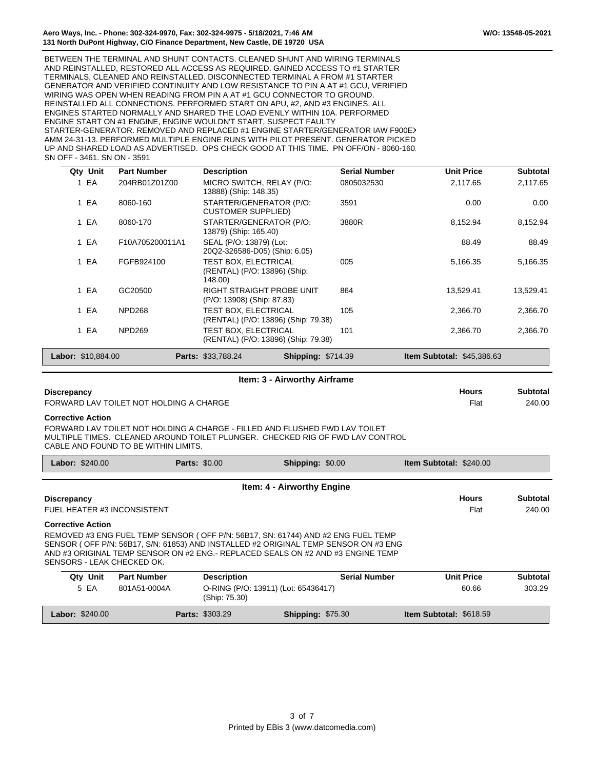BETWEEN THE TERMINAL AND SHUNT CONTACTS. CLEANED SHUNT AND WIRING TERMINALS AND REINSTALLED, RESTORED ALL ACCESS AS REQUIRED. GAINED ACCESS TO #1 STARTER TERMINALS, CLEANED AND REINSTALLED. DISCONNECTED TERMINAL A FROM #1 STARTER GENERATOR AND VERIFIED CONTINUITY AND LOW RESISTANCE TO PIN A AT #1 GCU, VERIFIED WIRING WAS OPEN WHEN READING FROM PIN A AT #1 GCU CONNECTOR TO GROUND. REINSTALLED ALL CONNECTIONS. PERFORMED START ON APU, #2, AND #3 ENGINES, ALL ENGINES STARTED NORMALLY AND SHARED THE LOAD EVENLY WITHIN 10A. PERFORMED ENGINE START ON #1 ENGINE, ENGINE WOULDN'T START, SUSPECT FAULTY STARTER-GENERATOR. REMOVED AND REPLACED #1 ENGINE STARTER/GENERATOR IAW F900E> AMM 24-31-13. PERFORMED MULTIPLE ENGINE RUNS WITH PILOT PRESENT. GENERATOR PICKED UP AND SHARED LOAD AS ADVERTISED. OPS CHECK GOOD AT THIS TIME. PN OFF/ON - 8060-160. SN OFF - 3461. SN ON - 3591

| Qty Unit           | <b>Part Number</b> | <b>Description</b>                                                 | <b>Serial Number</b> | <b>Unit Price</b>                              | <b>Subtotal</b> |
|--------------------|--------------------|--------------------------------------------------------------------|----------------------|------------------------------------------------|-----------------|
| 1 EA               | 204RB01Z01Z00      | MICRO SWITCH, RELAY (P/O:<br>13888) (Ship: 148.35)                 | 0805032530           | 2,117.65                                       | 2,117.65        |
| 1 EA               | 8060-160           | STARTER/GENERATOR (P/O:<br><b>CUSTOMER SUPPLIED)</b>               | 3591                 | 0.00                                           | 0.00            |
| 1 EA               | 8060-170           | STARTER/GENERATOR (P/O:<br>13879) (Ship: 165.40)                   | 3880R                | 8,152.94                                       | 8,152.94        |
| 1 EA               | F10A705200011A1    | SEAL (P/O: 13879) (Lot:<br>20Q2-326586-D05) (Ship: 6.05)           |                      | 88.49                                          | 88.49           |
| 1 EA               | FGFB924100         | TEST BOX. ELECTRICAL<br>(RENTAL) (P/O: 13896) (Ship:<br>148.00)    | 005                  | 5,166.35                                       | 5,166.35        |
| 1 EA               | GC20500            | <b>RIGHT STRAIGHT PROBE UNIT</b><br>(P/O: 13908) (Ship: 87.83)     | 864                  | 13,529.41                                      | 13,529.41       |
| 1 EA               | <b>NPD268</b>      | <b>TEST BOX, ELECTRICAL</b><br>(RENTAL) (P/O: 13896) (Ship: 79.38) | 105                  | 2,366.70                                       | 2,366.70        |
| 1 EA               | NPD269             | TEST BOX. ELECTRICAL<br>(RENTAL) (P/O: 13896) (Ship: 79.38)        | 101                  | 2.366.70                                       | 2,366.70        |
| Labor: \$10,884.00 |                    | <b>Parts: \$33,788.24</b><br><b>Shipping: \$714.39</b>             |                      | <b>Item Subtotal: <math>\$45,386.63</math></b> |                 |

| Item: 3 - Airworthy Airframe            |       |          |  |  |  |
|-----------------------------------------|-------|----------|--|--|--|
| <b>Discrepancy</b>                      | Hours | Subtotal |  |  |  |
| FORWARD LAV TOILET NOT HOLDING A CHARGE | Flat  | 240.00   |  |  |  |

#### **Corrective Action**

FORWARD LAV TOILET NOT HOLDING A CHARGE - FILLED AND FLUSHED FWD LAV TOILET MULTIPLE TIMES. CLEANED AROUND TOILET PLUNGER. CHECKED RIG OF FWD LAV CONTROL CABLE AND FOUND TO BE WITHIN LIMITS.

| <b>Labor: \$240.00</b>                                                                                                                                                                                                                                                                                               | <b>Parts: \$0.00</b> |                                                      | <b>Shipping: \$0.00</b>    | <b>Item Subtotal: \$240.00</b> |                   |                 |
|----------------------------------------------------------------------------------------------------------------------------------------------------------------------------------------------------------------------------------------------------------------------------------------------------------------------|----------------------|------------------------------------------------------|----------------------------|--------------------------------|-------------------|-----------------|
|                                                                                                                                                                                                                                                                                                                      |                      |                                                      | Item: 4 - Airworthy Engine |                                |                   |                 |
| <b>Discrepancy</b>                                                                                                                                                                                                                                                                                                   |                      |                                                      |                            |                                | <b>Hours</b>      | <b>Subtotal</b> |
| FUEL HEATER #3 INCONSISTENT                                                                                                                                                                                                                                                                                          |                      |                                                      |                            |                                | Flat              | 240.00          |
| <b>Corrective Action</b><br>REMOVED #3 ENG FUEL TEMP SENSOR (OFF P/N: 56B17, SN: 61744) AND #2 ENG FUEL TEMP<br>SENSOR (OFF P/N: 56B17, S/N: 61853) AND INSTALLED #2 ORIGINAL TEMP SENSOR ON #3 ENG<br>AND #3 ORIGINAL TEMP SENSOR ON #2 ENG.- REPLACED SEALS ON #2 AND #3 ENGINE TEMP<br>SENSORS - LEAK CHECKED OK. |                      |                                                      |                            |                                |                   |                 |
| Qty Unit                                                                                                                                                                                                                                                                                                             | <b>Part Number</b>   | <b>Description</b>                                   | <b>Serial Number</b>       |                                | <b>Unit Price</b> | <b>Subtotal</b> |
| 5 EA                                                                                                                                                                                                                                                                                                                 | 801A51-0004A         | O-RING (P/O: 13911) (Lot: 65436417)<br>(Ship: 75.30) |                            |                                | 60.66             | 303.29          |

**Labor:** \$240.00 **Parts:** \$303.29 **Shipping:** \$75.30 **Item Subtotal:** \$618.59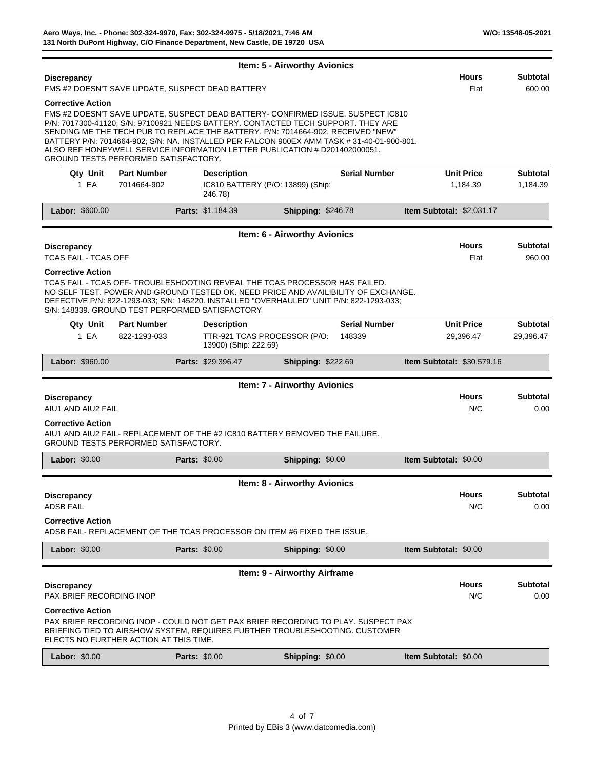|                                                       |                                             |                                                                                                                                                                                                                                                                                                                                                                                                                                      | Item: 5 - Airworthy Avionics        |                                |                                   |                                |                              |
|-------------------------------------------------------|---------------------------------------------|--------------------------------------------------------------------------------------------------------------------------------------------------------------------------------------------------------------------------------------------------------------------------------------------------------------------------------------------------------------------------------------------------------------------------------------|-------------------------------------|--------------------------------|-----------------------------------|--------------------------------|------------------------------|
| <b>Discrepancy</b>                                    |                                             | FMS #2 DOESN'T SAVE UPDATE, SUSPECT DEAD BATTERY                                                                                                                                                                                                                                                                                                                                                                                     |                                     |                                |                                   | <b>Hours</b><br>Flat           | <b>Subtotal</b><br>600.00    |
| <b>Corrective Action</b>                              | GROUND TESTS PERFORMED SATISFACTORY.        | FMS #2 DOESN'T SAVE UPDATE, SUSPECT DEAD BATTERY- CONFIRMED ISSUE. SUSPECT IC810<br>P/N: 7017300-41120; S/N: 97100921 NEEDS BATTERY. CONTACTED TECH SUPPORT. THEY ARE<br>SENDING ME THE TECH PUB TO REPLACE THE BATTERY. P/N: 7014664-902. RECEIVED "NEW"<br>BATTERY P/N: 7014664-902; S/N: NA. INSTALLED PER FALCON 900EX AMM TASK #31-40-01-900-801.<br>ALSO REF HONEYWELL SERVICE INFORMATION LETTER PUBLICATION # D201402000051. |                                     |                                |                                   |                                |                              |
| Qty Unit                                              | <b>Part Number</b>                          | <b>Description</b>                                                                                                                                                                                                                                                                                                                                                                                                                   |                                     | <b>Serial Number</b>           |                                   | <b>Unit Price</b>              | <b>Subtotal</b>              |
| 1 EA                                                  | 7014664-902                                 | IC810 BATTERY (P/O: 13899) (Ship:<br>246.78)                                                                                                                                                                                                                                                                                                                                                                                         |                                     |                                |                                   | 1,184.39                       | 1,184.39                     |
| Labor: \$600.00                                       |                                             | Parts: \$1,184.39                                                                                                                                                                                                                                                                                                                                                                                                                    | <b>Shipping: \$246.78</b>           |                                | Item Subtotal: \$2,031.17         |                                |                              |
|                                                       |                                             |                                                                                                                                                                                                                                                                                                                                                                                                                                      | Item: 6 - Airworthy Avionics        |                                |                                   |                                |                              |
| <b>Discrepancy</b><br><b>TCAS FAIL - TCAS OFF</b>     |                                             |                                                                                                                                                                                                                                                                                                                                                                                                                                      |                                     |                                |                                   | <b>Hours</b><br>Flat           | <b>Subtotal</b><br>960.00    |
| <b>Corrective Action</b>                              |                                             | TCAS FAIL - TCAS OFF-TROUBLESHOOTING REVEAL THE TCAS PROCESSOR HAS FAILED.<br>NO SELF TEST. POWER AND GROUND TESTED OK. NEED PRICE AND AVAILIBILITY OF EXCHANGE.<br>DEFECTIVE P/N: 822-1293-033; S/N: 145220. INSTALLED "OVERHAULED" UNIT P/N: 822-1293-033;<br>S/N: 148339, GROUND TEST PERFORMED SATISFACTORY                                                                                                                      |                                     |                                |                                   |                                |                              |
| Qty Unit<br>1 EA                                      | <b>Part Number</b><br>822-1293-033          | <b>Description</b><br>TTR-921 TCAS PROCESSOR (P/O:<br>13900) (Ship: 222.69)                                                                                                                                                                                                                                                                                                                                                          |                                     | <b>Serial Number</b><br>148339 |                                   | <b>Unit Price</b><br>29,396.47 | <b>Subtotal</b><br>29,396.47 |
| Labor: \$960.00                                       |                                             | Parts: \$29,396.47                                                                                                                                                                                                                                                                                                                                                                                                                   | <b>Shipping: \$222.69</b>           |                                | <b>Item Subtotal: \$30,579.16</b> |                                |                              |
|                                                       |                                             |                                                                                                                                                                                                                                                                                                                                                                                                                                      | <b>Item: 7 - Airworthy Avionics</b> |                                |                                   |                                |                              |
| <b>Discrepancy</b><br>AIU1 AND AIU2 FAIL              |                                             |                                                                                                                                                                                                                                                                                                                                                                                                                                      |                                     |                                |                                   | <b>Hours</b><br>N/C            | Subtotal<br>0.00             |
| <b>Corrective Action</b>                              | <b>GROUND TESTS PERFORMED SATISFACTORY.</b> | AIU1 AND AIU2 FAIL- REPLACEMENT OF THE #2 IC810 BATTERY REMOVED THE FAILURE.                                                                                                                                                                                                                                                                                                                                                         |                                     |                                |                                   |                                |                              |
| Labor: \$0.00                                         |                                             | <b>Parts: \$0.00</b>                                                                                                                                                                                                                                                                                                                                                                                                                 | Shipping: \$0.00                    |                                | <b>Item Subtotal: \$0.00</b>      |                                |                              |
|                                                       |                                             |                                                                                                                                                                                                                                                                                                                                                                                                                                      | Item: 8 - Airworthy Avionics        |                                |                                   |                                |                              |
| Discrepancy<br><b>ADSB FAIL</b>                       |                                             |                                                                                                                                                                                                                                                                                                                                                                                                                                      |                                     |                                |                                   | <b>Hours</b><br>N/C            | <b>Subtotal</b><br>0.00      |
| <b>Corrective Action</b>                              |                                             | ADSB FAIL- REPLACEMENT OF THE TCAS PROCESSOR ON ITEM #6 FIXED THE ISSUE.                                                                                                                                                                                                                                                                                                                                                             |                                     |                                |                                   |                                |                              |
| Labor: \$0.00                                         |                                             | <b>Parts: \$0.00</b>                                                                                                                                                                                                                                                                                                                                                                                                                 | Shipping: \$0.00                    |                                | Item Subtotal: \$0.00             |                                |                              |
|                                                       |                                             |                                                                                                                                                                                                                                                                                                                                                                                                                                      | Item: 9 - Airworthy Airframe        |                                |                                   |                                |                              |
| <b>Discrepancy</b><br><b>PAX BRIEF RECORDING INOP</b> |                                             |                                                                                                                                                                                                                                                                                                                                                                                                                                      |                                     |                                |                                   | <b>Hours</b><br>N/C            | <b>Subtotal</b><br>0.00      |
| <b>Corrective Action</b>                              |                                             | PAX BRIEF RECORDING INOP - COULD NOT GET PAX BRIEF RECORDING TO PLAY. SUSPECT PAX                                                                                                                                                                                                                                                                                                                                                    |                                     |                                |                                   |                                |                              |
|                                                       | ELECTS NO FURTHER ACTION AT THIS TIME.      | BRIEFING TIED TO AIRSHOW SYSTEM, REQUIRES FURTHER TROUBLESHOOTING. CUSTOMER                                                                                                                                                                                                                                                                                                                                                          |                                     |                                |                                   |                                |                              |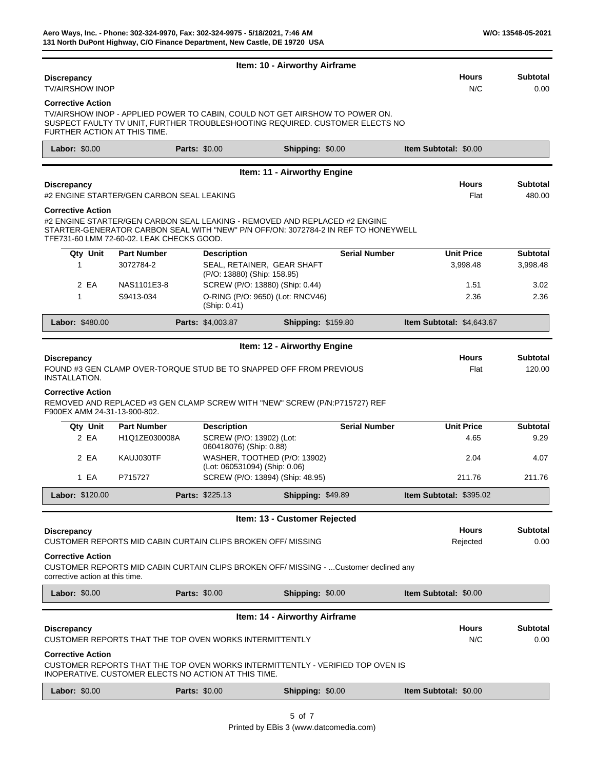|                                                                                                            |                                                                                                                                                                                                               |                                                               | Item: 10 - Airworthy Airframe |                      |                                |                           |
|------------------------------------------------------------------------------------------------------------|---------------------------------------------------------------------------------------------------------------------------------------------------------------------------------------------------------------|---------------------------------------------------------------|-------------------------------|----------------------|--------------------------------|---------------------------|
| <b>Discrepancy</b><br><b>TV/AIRSHOW INOP</b>                                                               |                                                                                                                                                                                                               |                                                               |                               |                      | <b>Hours</b><br>N/C            | <b>Subtotal</b><br>0.00   |
| <b>Corrective Action</b><br>FURTHER ACTION AT THIS TIME.                                                   | TV/AIRSHOW INOP - APPLIED POWER TO CABIN, COULD NOT GET AIRSHOW TO POWER ON.<br>SUSPECT FAULTY TV UNIT, FURTHER TROUBLESHOOTING REQUIRED. CUSTOMER ELECTS NO                                                  |                                                               |                               |                      |                                |                           |
| Labor: \$0.00                                                                                              | <b>Parts: \$0.00</b>                                                                                                                                                                                          |                                                               | Shipping: \$0.00              |                      | <b>Item Subtotal: \$0.00</b>   |                           |
|                                                                                                            |                                                                                                                                                                                                               |                                                               | Item: 11 - Airworthy Engine   |                      |                                |                           |
| <b>Discrepancy</b>                                                                                         | #2 ENGINE STARTER/GEN CARBON SEAL LEAKING                                                                                                                                                                     |                                                               |                               |                      | <b>Hours</b><br>Flat           | <b>Subtotal</b><br>480.00 |
| <b>Corrective Action</b>                                                                                   | #2 ENGINE STARTER/GEN CARBON SEAL LEAKING - REMOVED AND REPLACED #2 ENGINE<br>STARTER-GENERATOR CARBON SEAL WITH "NEW" P/N OFF/ON: 3072784-2 IN REF TO HONEYWELL<br>TFE731-60 LMM 72-60-02. LEAK CHECKS GOOD. |                                                               |                               |                      |                                |                           |
| Qty Unit                                                                                                   | <b>Part Number</b>                                                                                                                                                                                            | <b>Description</b>                                            |                               | <b>Serial Number</b> | <b>Unit Price</b>              | <b>Subtotal</b>           |
| 1                                                                                                          | 3072784-2                                                                                                                                                                                                     | SEAL, RETAINER, GEAR SHAFT<br>(P/O: 13880) (Ship: 158.95)     |                               |                      | 3,998.48                       | 3,998.48                  |
| 2 EA                                                                                                       | NAS1101E3-8                                                                                                                                                                                                   | SCREW (P/O: 13880) (Ship: 0.44)                               |                               |                      | 1.51                           | 3.02                      |
| 1                                                                                                          | S9413-034                                                                                                                                                                                                     | O-RING (P/O: 9650) (Lot: RNCV46)<br>(Ship: 0.41)              |                               |                      | 2.36                           | 2.36                      |
| Labor: \$480.00                                                                                            |                                                                                                                                                                                                               | Parts: \$4,003.87                                             | <b>Shipping: \$159.80</b>     |                      | Item Subtotal: \$4,643.67      |                           |
|                                                                                                            |                                                                                                                                                                                                               |                                                               | Item: 12 - Airworthy Engine   |                      |                                |                           |
| <b>Discrepancy</b><br>INSTALLATION.                                                                        | FOUND #3 GEN CLAMP OVER-TORQUE STUD BE TO SNAPPED OFF FROM PREVIOUS                                                                                                                                           |                                                               |                               |                      | <b>Hours</b><br>Flat           | <b>Subtotal</b><br>120.00 |
| <b>Corrective Action</b><br>F900EX AMM 24-31-13-900-802.                                                   | REMOVED AND REPLACED #3 GEN CLAMP SCREW WITH "NEW" SCREW (P/N:P715727) REF                                                                                                                                    |                                                               |                               |                      |                                |                           |
| Qty Unit                                                                                                   | <b>Part Number</b>                                                                                                                                                                                            | <b>Description</b>                                            |                               | <b>Serial Number</b> | <b>Unit Price</b>              | <b>Subtotal</b>           |
| 2 EA                                                                                                       | H1Q1ZE030008A                                                                                                                                                                                                 | SCREW (P/O: 13902) (Lot:<br>060418076) (Ship: 0.88)           |                               |                      | 4.65                           | 9.29                      |
| 2 EA                                                                                                       | KAUJ030TF                                                                                                                                                                                                     | WASHER, TOOTHED (P/O: 13902)<br>(Lot: 060531094) (Ship: 0.06) |                               |                      | 2.04                           | 4.07                      |
| 1 EA                                                                                                       | P715727                                                                                                                                                                                                       | SCREW (P/O: 13894) (Ship: 48.95)                              |                               |                      | 211.76                         | 211.76                    |
| Labor: \$120.00                                                                                            |                                                                                                                                                                                                               | <b>Parts: \$225.13</b>                                        | <b>Shipping: \$49.89</b>      |                      | <b>Item Subtotal: \$395.02</b> |                           |
|                                                                                                            |                                                                                                                                                                                                               |                                                               | Item: 13 - Customer Rejected  |                      |                                |                           |
| <b>Discrepancy</b>                                                                                         | CUSTOMER REPORTS MID CABIN CURTAIN CLIPS BROKEN OFF/ MISSING                                                                                                                                                  |                                                               |                               |                      | Hours<br>Rejected              | <b>Subtotal</b><br>0.00   |
| <b>Corrective Action</b><br>corrective action at this time.                                                | CUSTOMER REPORTS MID CABIN CURTAIN CLIPS BROKEN OFF/ MISSING -  Customer declined any                                                                                                                         |                                                               |                               |                      |                                |                           |
| <b>Labor: \$0.00</b>                                                                                       | <b>Parts: \$0.00</b>                                                                                                                                                                                          |                                                               | Shipping: \$0.00              |                      | <b>Item Subtotal: \$0.00</b>   |                           |
|                                                                                                            |                                                                                                                                                                                                               |                                                               | Item: 14 - Airworthy Airframe |                      |                                |                           |
| <b>Discrepancy</b>                                                                                         | CUSTOMER REPORTS THAT THE TOP OVEN WORKS INTERMITTENTLY                                                                                                                                                       |                                                               |                               |                      | <b>Hours</b><br>N/C            | <b>Subtotal</b><br>0.00   |
| <b>Corrective Action</b><br>CUSTOMER REPORTS THAT THE TOP OVEN WORKS INTERMITTENTLY - VERIFIED TOP OVEN IS |                                                                                                                                                                                                               |                                                               |                               |                      |                                |                           |
|                                                                                                            | INOPERATIVE. CUSTOMER ELECTS NO ACTION AT THIS TIME.                                                                                                                                                          |                                                               |                               |                      |                                |                           |
| Labor: \$0.00                                                                                              | <b>Parts: \$0.00</b>                                                                                                                                                                                          |                                                               | Shipping: \$0.00              |                      | Item Subtotal: \$0.00          |                           |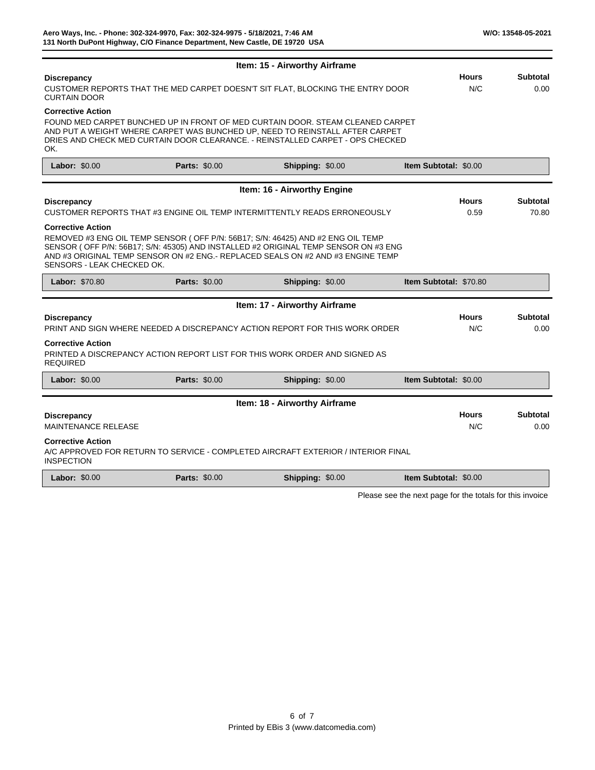|                                                                                                                             |                      | Item: 15 - Airworthy Airframe                                                                                                                                                                                                                             |                               |                      |                          |
|-----------------------------------------------------------------------------------------------------------------------------|----------------------|-----------------------------------------------------------------------------------------------------------------------------------------------------------------------------------------------------------------------------------------------------------|-------------------------------|----------------------|--------------------------|
| <b>Discrepancy</b><br>CUSTOMER REPORTS THAT THE MED CARPET DOESN'T SIT FLAT, BLOCKING THE ENTRY DOOR<br><b>CURTAIN DOOR</b> |                      | <b>Hours</b><br>N/C                                                                                                                                                                                                                                       | <b>Subtotal</b><br>0.00       |                      |                          |
| <b>Corrective Action</b><br>OK.                                                                                             |                      | FOUND MED CARPET BUNCHED UP IN FRONT OF MED CURTAIN DOOR. STEAM CLEANED CARPET<br>AND PUT A WEIGHT WHERE CARPET WAS BUNCHED UP, NEED TO REINSTALL AFTER CARPET<br>DRIES AND CHECK MED CURTAIN DOOR CLEARANCE. - REINSTALLED CARPET - OPS CHECKED          |                               |                      |                          |
| Labor: \$0.00                                                                                                               | <b>Parts: \$0.00</b> | Shipping: \$0.00                                                                                                                                                                                                                                          | <b>Item Subtotal: \$0.00</b>  |                      |                          |
|                                                                                                                             |                      | Item: 16 - Airworthy Engine                                                                                                                                                                                                                               |                               |                      |                          |
| <b>Discrepancy</b>                                                                                                          |                      | CUSTOMER REPORTS THAT #3 ENGINE OIL TEMP INTERMITTENTLY READS ERRONEOUSLY                                                                                                                                                                                 |                               | <b>Hours</b><br>0.59 | <b>Subtotal</b><br>70.80 |
| <b>Corrective Action</b><br>SENSORS - LEAK CHECKED OK.                                                                      |                      | REMOVED #3 ENG OIL TEMP SENSOR (OFF P/N: 56B17; S/N: 46425) AND #2 ENG OIL TEMP<br>SENSOR (OFF P/N: 56B17; S/N: 45305) AND INSTALLED #2 ORIGINAL TEMP SENSOR ON #3 ENG<br>AND #3 ORIGINAL TEMP SENSOR ON #2 ENG.- REPLACED SEALS ON #2 AND #3 ENGINE TEMP |                               |                      |                          |
| Labor: \$70.80                                                                                                              | <b>Parts: \$0.00</b> | Shipping: \$0.00                                                                                                                                                                                                                                          | <b>Item Subtotal: \$70.80</b> |                      |                          |
|                                                                                                                             |                      | Item: 17 - Airworthy Airframe                                                                                                                                                                                                                             |                               |                      |                          |
| <b>Discrepancy</b>                                                                                                          |                      | PRINT AND SIGN WHERE NEEDED A DISCREPANCY ACTION REPORT FOR THIS WORK ORDER                                                                                                                                                                               |                               | <b>Hours</b><br>N/C  | <b>Subtotal</b><br>0.00  |
| <b>Corrective Action</b><br><b>REQUIRED</b>                                                                                 |                      | PRINTED A DISCREPANCY ACTION REPORT LIST FOR THIS WORK ORDER AND SIGNED AS                                                                                                                                                                                |                               |                      |                          |

| <b>Labor: \$0.00</b>       | <b>Parts: \$0.00</b> | <b>Shipping: \$0.00</b>                                                           | <b>Item Subtotal: \$0.00</b> |                 |
|----------------------------|----------------------|-----------------------------------------------------------------------------------|------------------------------|-----------------|
|                            |                      | <b>Item: 18 - Airworthy Airframe</b>                                              |                              |                 |
| <b>Discrepancy</b>         |                      |                                                                                   | <b>Hours</b>                 | <b>Subtotal</b> |
| <b>MAINTENANCE RELEASE</b> |                      |                                                                                   | N/C                          | 0.00            |
| <b>Corrective Action</b>   |                      | A/C APPROVED FOR RETURN TO SERVICE - COMPLETED AIRCRAFT EXTERIOR / INTERIOR FINAL |                              |                 |

INSPECTION

| <b>Labor: \$0.00</b> | <b>Parts: \$0.00</b> | Shipping: \$0.00 | <b>Item Subtotal: \$0.00</b> |  |
|----------------------|----------------------|------------------|------------------------------|--|
|----------------------|----------------------|------------------|------------------------------|--|

Please see the next page for the totals for this invoice